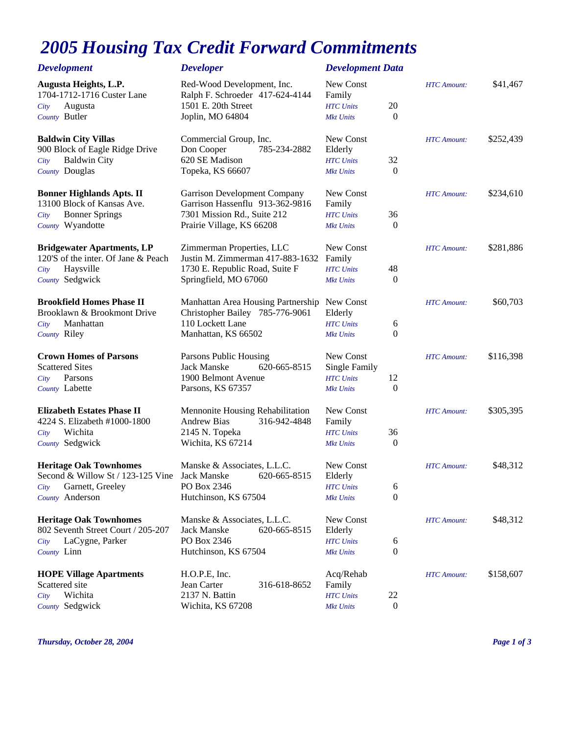## *2005 Housing Tax Credit Forward Commitments*

| <b>Development</b>                                                     | <b>Developer</b>                                                                     | <b>Development Data</b>                 |                |                    |           |
|------------------------------------------------------------------------|--------------------------------------------------------------------------------------|-----------------------------------------|----------------|--------------------|-----------|
| Augusta Heights, L.P.<br>1704-1712-1716 Custer Lane<br>Augusta<br>City | Red-Wood Development, Inc.<br>Ralph F. Schroeder 417-624-4144<br>1501 E. 20th Street | New Const<br>Family<br><b>HTC</b> Units | 20             | <b>HTC</b> Amount: | \$41,467  |
| County Butler                                                          | Joplin, MO 64804                                                                     | <b>Mkt Units</b>                        | $\theta$       |                    |           |
| <b>Baldwin City Villas</b>                                             | Commercial Group, Inc.                                                               | New Const                               |                | <b>HTC</b> Amount: | \$252,439 |
| 900 Block of Eagle Ridge Drive                                         | 785-234-2882<br>Don Cooper                                                           | Elderly                                 |                |                    |           |
| <b>Baldwin City</b><br>City                                            | 620 SE Madison                                                                       | <b>HTC</b> Units                        | 32             |                    |           |
| County Douglas                                                         | Topeka, KS 66607                                                                     | <b>Mkt Units</b>                        | $\overline{0}$ |                    |           |
| <b>Bonner Highlands Apts. II</b>                                       | <b>Garrison Development Company</b>                                                  | New Const                               |                | <b>HTC</b> Amount: | \$234,610 |
| 13100 Block of Kansas Ave.                                             | Garrison Hassenflu 913-362-9816                                                      | Family                                  |                |                    |           |
| <b>Bonner Springs</b><br>City                                          | 7301 Mission Rd., Suite 212                                                          | <b>HTC</b> Units                        | 36             |                    |           |
| County Wyandotte                                                       | Prairie Village, KS 66208                                                            | <b>Mkt Units</b>                        | $\overline{0}$ |                    |           |
| <b>Bridgewater Apartments, LP</b>                                      | Zimmerman Properties, LLC                                                            | New Const                               |                | <b>HTC</b> Amount: | \$281,886 |
| 120'S of the inter. Of Jane & Peach                                    | Justin M. Zimmerman 417-883-1632                                                     | Family                                  |                |                    |           |
| Haysville<br>City                                                      | 1730 E. Republic Road, Suite F                                                       | <b>HTC</b> Units                        | 48             |                    |           |
| County Sedgwick                                                        | Springfield, MO 67060                                                                | <b>Mkt Units</b>                        | $\overline{0}$ |                    |           |
| <b>Brookfield Homes Phase II</b>                                       | Manhattan Area Housing Partnership New Const                                         |                                         |                | <b>HTC</b> Amount: | \$60,703  |
| Brooklawn & Brookmont Drive                                            | Christopher Bailey 785-776-9061                                                      | Elderly                                 |                |                    |           |
| Manhattan<br>City                                                      | 110 Lockett Lane                                                                     | <b>HTC</b> Units                        | 6              |                    |           |
| County Riley                                                           | Manhattan, KS 66502                                                                  | <b>Mkt Units</b>                        | $\theta$       |                    |           |
| <b>Crown Homes of Parsons</b>                                          | Parsons Public Housing                                                               | New Const                               |                | <b>HTC</b> Amount: | \$116,398 |
| <b>Scattered Sites</b>                                                 | 620-665-8515<br>Jack Manske                                                          | Single Family                           |                |                    |           |
| Parsons<br>City                                                        | 1900 Belmont Avenue                                                                  | <b>HTC</b> Units                        | 12             |                    |           |
| County Labette                                                         | Parsons, KS 67357                                                                    | <b>Mkt Units</b>                        | $\theta$       |                    |           |
| <b>Elizabeth Estates Phase II</b>                                      | Mennonite Housing Rehabilitation                                                     | New Const                               |                | <b>HTC</b> Amount: | \$305,395 |
| 4224 S. Elizabeth #1000-1800                                           | <b>Andrew Bias</b><br>316-942-4848                                                   | Family                                  |                |                    |           |
| Wichita<br>City                                                        | 2145 N. Topeka                                                                       | <b>HTC</b> Units                        | 36             |                    |           |
| County Sedgwick                                                        | Wichita, KS 67214                                                                    | <b>Mkt Units</b>                        | $\overline{0}$ |                    |           |
| <b>Heritage Oak Townhomes</b>                                          | Manske & Associates, L.L.C.                                                          | New Const                               |                | <b>HTC</b> Amount: | \$48,312  |
| Second & Willow St / 123-125 Vine Jack Manske                          | 620-665-8515                                                                         | Elderly                                 |                |                    |           |
| Garnett, Greeley<br>City                                               | PO Box 2346                                                                          | <b>HTC</b> Units                        | 6              |                    |           |
| County Anderson                                                        | Hutchinson, KS 67504                                                                 | <b>Mkt Units</b>                        | $\Omega$       |                    |           |
| <b>Heritage Oak Townhomes</b>                                          | Manske & Associates, L.L.C.                                                          | New Const                               |                | <b>HTC</b> Amount: | \$48,312  |
| 802 Seventh Street Court / 205-207                                     | 620-665-8515<br>Jack Manske                                                          | Elderly                                 |                |                    |           |
| LaCygne, Parker<br>City                                                | PO Box 2346                                                                          | <b>HTC</b> Units                        | 6              |                    |           |
| County Linn                                                            | Hutchinson, KS 67504                                                                 | <b>Mkt Units</b>                        | $\mathbf{0}$   |                    |           |
| <b>HOPE Village Apartments</b>                                         | H.O.P.E, Inc.                                                                        | Acq/Rehab                               |                | <b>HTC</b> Amount: | \$158,607 |
| Scattered site                                                         | Jean Carter<br>316-618-8652                                                          | Family                                  |                |                    |           |
| Wichita<br>City                                                        | 2137 N. Battin                                                                       | <b>HTC</b> Units                        | 22             |                    |           |
| County Sedgwick                                                        | Wichita, KS 67208                                                                    | <b>Mkt Units</b>                        | $\mathbf{0}$   |                    |           |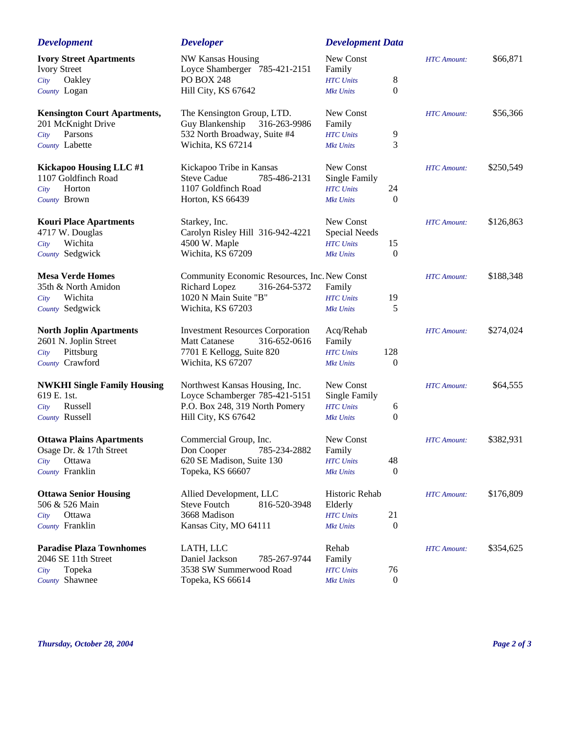| <b>Development</b>                                    | <b>Developer</b>                                          | <b>Development Data</b>              |                    |           |
|-------------------------------------------------------|-----------------------------------------------------------|--------------------------------------|--------------------|-----------|
| <b>Ivory Street Apartments</b><br><b>Ivory Street</b> | <b>NW Kansas Housing</b><br>Loyce Shamberger 785-421-2151 | New Const<br>Family                  | <b>HTC</b> Amount: | \$66,871  |
| Oakley<br>City                                        | <b>PO BOX 248</b>                                         | 8<br><b>HTC</b> Units                |                    |           |
| County Logan                                          | Hill City, KS 67642                                       | 0<br><b>Mkt Units</b>                |                    |           |
| <b>Kensington Court Apartments,</b>                   | The Kensington Group, LTD.                                | New Const                            | <b>HTC</b> Amount: | \$56,366  |
| 201 McKnight Drive                                    | Guy Blankenship<br>316-263-9986                           | Family                               |                    |           |
| Parsons<br>City                                       | 532 North Broadway, Suite #4                              | 9<br><b>HTC</b> Units                |                    |           |
| County Labette                                        | Wichita, KS 67214                                         | 3<br><b>Mkt Units</b>                |                    |           |
| Kickapoo Housing LLC #1                               | Kickapoo Tribe in Kansas                                  | New Const                            | <b>HTC</b> Amount: | \$250,549 |
| 1107 Goldfinch Road                                   | <b>Steve Cadue</b><br>785-486-2131                        | <b>Single Family</b>                 |                    |           |
| Horton<br>City                                        | 1107 Goldfinch Road                                       | 24<br><b>HTC</b> Units               |                    |           |
| County Brown                                          | Horton, KS 66439                                          | $\boldsymbol{0}$<br><b>Mkt Units</b> |                    |           |
| <b>Kouri Place Apartments</b>                         | Starkey, Inc.                                             | New Const                            | <b>HTC</b> Amount: | \$126,863 |
| 4717 W. Douglas                                       | Carolyn Risley Hill 316-942-4221                          | <b>Special Needs</b>                 |                    |           |
| Wichita<br>City                                       | 4500 W. Maple                                             | 15<br><b>HTC</b> Units               |                    |           |
| County Sedgwick                                       | Wichita, KS 67209                                         | $\boldsymbol{0}$<br><b>Mkt Units</b> |                    |           |
| <b>Mesa Verde Homes</b>                               | Community Economic Resources, Inc. New Const              |                                      | <b>HTC</b> Amount: | \$188,348 |
| 35th & North Amidon                                   | Richard Lopez<br>316-264-5372                             | Family                               |                    |           |
| Wichita<br>City                                       | 1020 N Main Suite "B"                                     | <b>HTC</b> Units<br>19               |                    |           |
| County Sedgwick                                       | Wichita, KS 67203                                         | 5<br><b>Mkt Units</b>                |                    |           |
| <b>North Joplin Apartments</b>                        | <b>Investment Resources Corporation</b>                   | Acq/Rehab                            | <b>HTC</b> Amount: | \$274,024 |
| 2601 N. Joplin Street                                 | <b>Matt Catanese</b><br>316-652-0616                      | Family                               |                    |           |
| Pittsburg<br>City                                     | 7701 E Kellogg, Suite 820                                 | 128<br><b>HTC</b> Units              |                    |           |
| County Crawford                                       | Wichita, KS 67207                                         | $\boldsymbol{0}$<br><b>Mkt Units</b> |                    |           |
| <b>NWKHI Single Family Housing</b>                    | Northwest Kansas Housing, Inc.                            | New Const                            | <b>HTC</b> Amount: | \$64,555  |
| 619 E. 1st.                                           | Loyce Schamberger 785-421-5151                            | Single Family                        |                    |           |
| Russell<br>City                                       | P.O. Box 248, 319 North Pomery                            | 6<br><b>HTC</b> Units<br>$\theta$    |                    |           |
| County Russell                                        | Hill City, KS 67642                                       | <b>Mkt Units</b>                     |                    |           |
| <b>Ottawa Plains Apartments</b>                       | Commercial Group, Inc.                                    | New Const                            | <b>HTC</b> Amount: | \$382,931 |
| Osage Dr. & 17th Street                               | 785-234-2882<br>Don Cooper                                | Family                               |                    |           |
| Ottawa<br>City                                        | 620 SE Madison, Suite 130                                 | 48<br><b>HTC</b> Units               |                    |           |
| County Franklin                                       | Topeka, KS 66607                                          | $\boldsymbol{0}$<br><b>Mkt Units</b> |                    |           |
| <b>Ottawa Senior Housing</b>                          | Allied Development, LLC                                   | Historic Rehab                       | <b>HTC</b> Amount: | \$176,809 |
| 506 & 526 Main                                        | <b>Steve Foutch</b><br>816-520-3948                       | Elderly                              |                    |           |
| Ottawa<br>City                                        | 3668 Madison                                              | 21<br><b>HTC</b> Units               |                    |           |
| County Franklin                                       | Kansas City, MO 64111                                     | $\boldsymbol{0}$<br><b>Mkt Units</b> |                    |           |
| <b>Paradise Plaza Townhomes</b>                       | LATH, LLC                                                 | Rehab                                | <b>HTC</b> Amount: | \$354,625 |
| 2046 SE 11th Street                                   | Daniel Jackson<br>785-267-9744                            | Family                               |                    |           |
| Topeka<br>City                                        | 3538 SW Summerwood Road                                   | 76<br><b>HTC</b> Units               |                    |           |
| County Shawnee                                        | Topeka, KS 66614                                          | $\boldsymbol{0}$<br><b>Mkt Units</b> |                    |           |